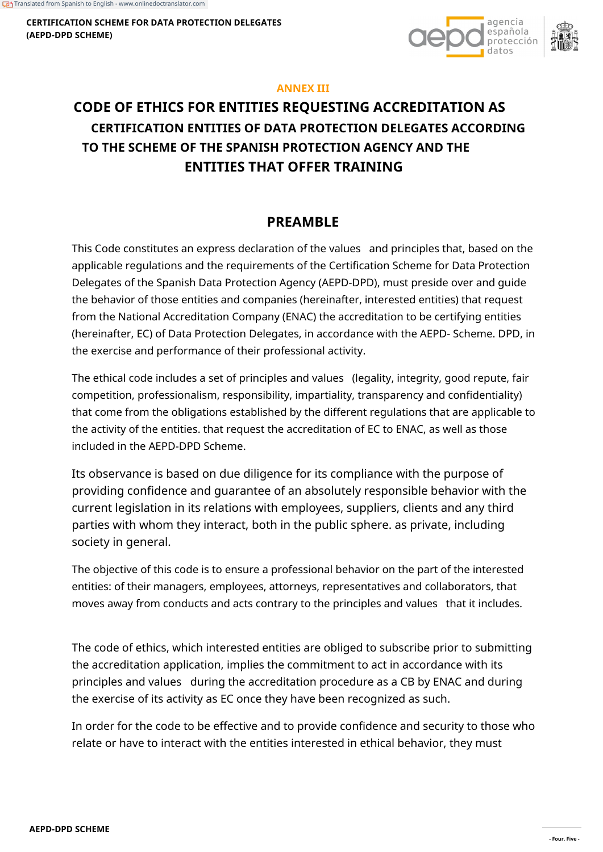**CERTIFICATION SCHEME FOR DATA PROTECTION DELEGATES (AEPD-DPD SCHEME)**



#### **ANNEX III**

# **CODE OF ETHICS FOR ENTITIES REQUESTING ACCREDITATION AS CERTIFICATION ENTITIES OF DATA PROTECTION DELEGATES ACCORDING TO THE SCHEME OF THE SPANISH PROTECTION AGENCY AND THE ENTITIES THAT OFFER TRAINING**

# **PREAMBLE**

This Code constitutes an express declaration of the values and principles that, based on the applicable regulations and the requirements of the Certification Scheme for Data Protection Delegates of the Spanish Data Protection Agency (AEPD-DPD), must preside over and guide the behavior of those entities and companies (hereinafter, interested entities) that request from the National Accreditation Company (ENAC) the accreditation to be certifying entities (hereinafter, EC) of Data Protection Delegates, in accordance with the AEPD- Scheme. DPD, in the exercise and performance of their professional activity.

The ethical code includes a set of principles and values (legality, integrity, good repute, fair competition, professionalism, responsibility, impartiality, transparency and confidentiality) that come from the obligations established by the different regulations that are applicable to the activity of the entities. that request the accreditation of EC to ENAC, as well as those included in the AEPD-DPD Scheme.

Its observance is based on due diligence for its compliance with the purpose of providing confidence and guarantee of an absolutely responsible behavior with the current legislation in its relations with employees, suppliers, clients and any third parties with whom they interact, both in the public sphere. as private, including society in general.

The objective of this code is to ensure a professional behavior on the part of the interested entities: of their managers, employees, attorneys, representatives and collaborators, that moves away from conducts and acts contrary to the principles and values that it includes.

The code of ethics, which interested entities are obliged to subscribe prior to submitting the accreditation application, implies the commitment to act in accordance with its principles and values during the accreditation procedure as a CB by ENAC and during the exercise of its activity as EC once they have been recognized as such.

In order for the code to be effective and to provide confidence and security to those who relate or have to interact with the entities interested in ethical behavior, they must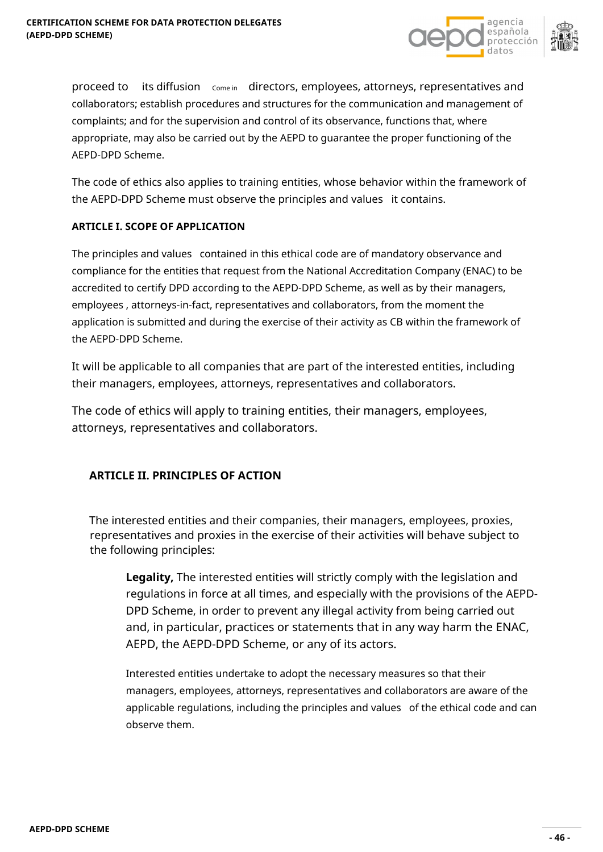

proceed to its diffusion come in directors, employees, attorneys, representatives and collaborators; establish procedures and structures for the communication and management of complaints; and for the supervision and control of its observance, functions that, where appropriate, may also be carried out by the AEPD to guarantee the proper functioning of the AEPD-DPD Scheme.

The code of ethics also applies to training entities, whose behavior within the framework of the AEPD-DPD Scheme must observe the principles and values it contains.

#### **ARTICLE I. SCOPE OF APPLICATION**

The principles and values contained in this ethical code are of mandatory observance and compliance for the entities that request from the National Accreditation Company (ENAC) to be accredited to certify DPD according to the AEPD-DPD Scheme, as well as by their managers, employees , attorneys-in-fact, representatives and collaborators, from the moment the application is submitted and during the exercise of their activity as CB within the framework of the AEPD-DPD Scheme.

It will be applicable to all companies that are part of the interested entities, including their managers, employees, attorneys, representatives and collaborators.

The code of ethics will apply to training entities, their managers, employees, attorneys, representatives and collaborators.

## **ARTICLE II. PRINCIPLES OF ACTION**

The interested entities and their companies, their managers, employees, proxies, representatives and proxies in the exercise of their activities will behave subject to the following principles:

**Legality,** The interested entities will strictly comply with the legislation and regulations in force at all times, and especially with the provisions of the AEPD-DPD Scheme, in order to prevent any illegal activity from being carried out and, in particular, practices or statements that in any way harm the ENAC, AEPD, the AEPD-DPD Scheme, or any of its actors.

Interested entities undertake to adopt the necessary measures so that their managers, employees, attorneys, representatives and collaborators are aware of the applicable regulations, including the principles and values of the ethical code and can observe them.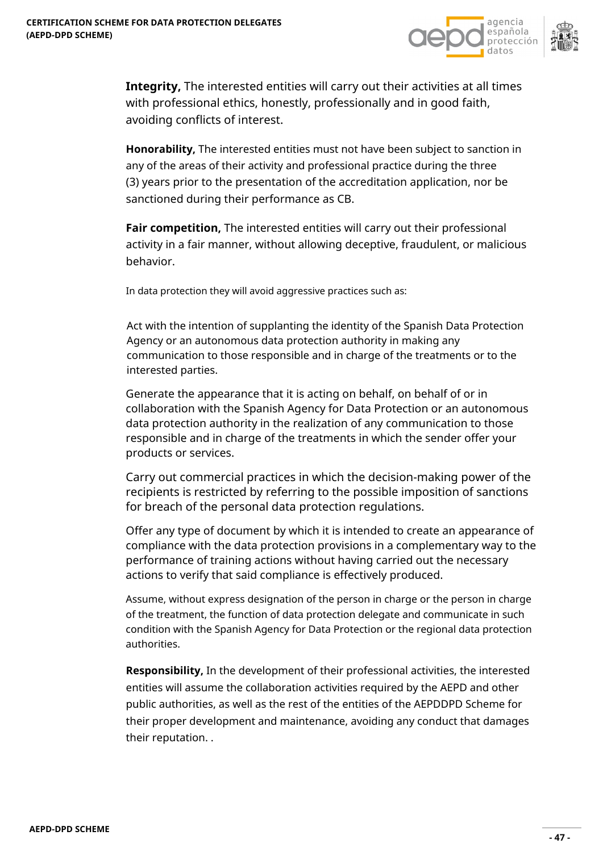



**Integrity,** The interested entities will carry out their activities at all times with professional ethics, honestly, professionally and in good faith, avoiding conflicts of interest.

**Honorability,** The interested entities must not have been subject to sanction in any of the areas of their activity and professional practice during the three (3) years prior to the presentation of the accreditation application, nor be sanctioned during their performance as CB.

**Fair competition,** The interested entities will carry out their professional activity in a fair manner, without allowing deceptive, fraudulent, or malicious behavior.

In data protection they will avoid aggressive practices such as:

Act with the intention of supplanting the identity of the Spanish Data Protection Agency or an autonomous data protection authority in making any communication to those responsible and in charge of the treatments or to the interested parties.

Generate the appearance that it is acting on behalf, on behalf of or in collaboration with the Spanish Agency for Data Protection or an autonomous data protection authority in the realization of any communication to those responsible and in charge of the treatments in which the sender offer your products or services.

Carry out commercial practices in which the decision-making power of the recipients is restricted by referring to the possible imposition of sanctions for breach of the personal data protection regulations.

Offer any type of document by which it is intended to create an appearance of compliance with the data protection provisions in a complementary way to the performance of training actions without having carried out the necessary actions to verify that said compliance is effectively produced.

Assume, without express designation of the person in charge or the person in charge of the treatment, the function of data protection delegate and communicate in such condition with the Spanish Agency for Data Protection or the regional data protection authorities.

**Responsibility,** In the development of their professional activities, the interested entities will assume the collaboration activities required by the AEPD and other public authorities, as well as the rest of the entities of the AEPDDPD Scheme for their proper development and maintenance, avoiding any conduct that damages their reputation. .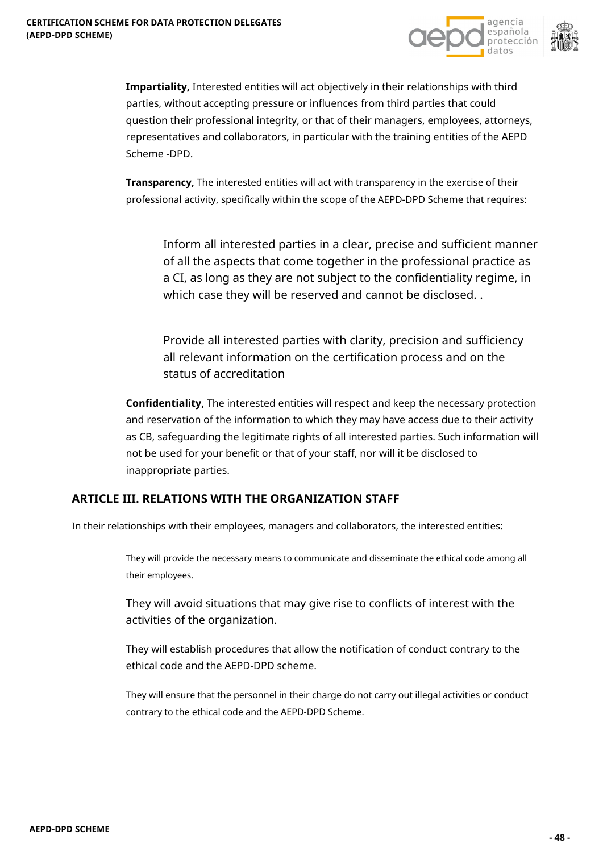



**Impartiality,** Interested entities will act objectively in their relationships with third parties, without accepting pressure or influences from third parties that could question their professional integrity, or that of their managers, employees, attorneys, representatives and collaborators, in particular with the training entities of the AEPD Scheme -DPD.

**Transparency,** The interested entities will act with transparency in the exercise of their professional activity, specifically within the scope of the AEPD-DPD Scheme that requires:

Inform all interested parties in a clear, precise and sufficient manner of all the aspects that come together in the professional practice as a CI, as long as they are not subject to the confidentiality regime, in which case they will be reserved and cannot be disclosed. .

Provide all interested parties with clarity, precision and sufficiency all relevant information on the certification process and on the status of accreditation

**Confidentiality,** The interested entities will respect and keep the necessary protection and reservation of the information to which they may have access due to their activity as CB, safeguarding the legitimate rights of all interested parties. Such information will not be used for your benefit or that of your staff, nor will it be disclosed to inappropriate parties.

## **ARTICLE III. RELATIONS WITH THE ORGANIZATION STAFF**

In their relationships with their employees, managers and collaborators, the interested entities:

They will provide the necessary means to communicate and disseminate the ethical code among all their employees.

They will avoid situations that may give rise to conflicts of interest with the activities of the organization.

They will establish procedures that allow the notification of conduct contrary to the ethical code and the AEPD-DPD scheme.

They will ensure that the personnel in their charge do not carry out illegal activities or conduct contrary to the ethical code and the AEPD-DPD Scheme.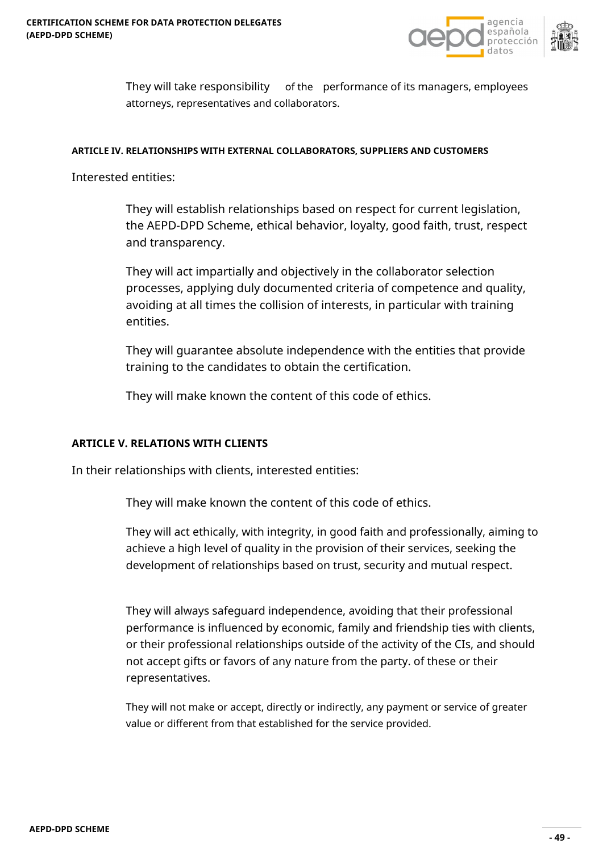

They will take responsibility of the performance of its managers, employees attorneys, representatives and collaborators.

#### **ARTICLE IV. RELATIONSHIPS WITH EXTERNAL COLLABORATORS, SUPPLIERS AND CUSTOMERS**

Interested entities:

They will establish relationships based on respect for current legislation, the AEPD-DPD Scheme, ethical behavior, loyalty, good faith, trust, respect and transparency.

They will act impartially and objectively in the collaborator selection processes, applying duly documented criteria of competence and quality, avoiding at all times the collision of interests, in particular with training entities.

They will guarantee absolute independence with the entities that provide training to the candidates to obtain the certification.

They will make known the content of this code of ethics.

## **ARTICLE V. RELATIONS WITH CLIENTS**

In their relationships with clients, interested entities:

They will make known the content of this code of ethics.

They will act ethically, with integrity, in good faith and professionally, aiming to achieve a high level of quality in the provision of their services, seeking the development of relationships based on trust, security and mutual respect.

They will always safeguard independence, avoiding that their professional performance is influenced by economic, family and friendship ties with clients, or their professional relationships outside of the activity of the CIs, and should not accept gifts or favors of any nature from the party. of these or their representatives.

They will not make or accept, directly or indirectly, any payment or service of greater value or different from that established for the service provided.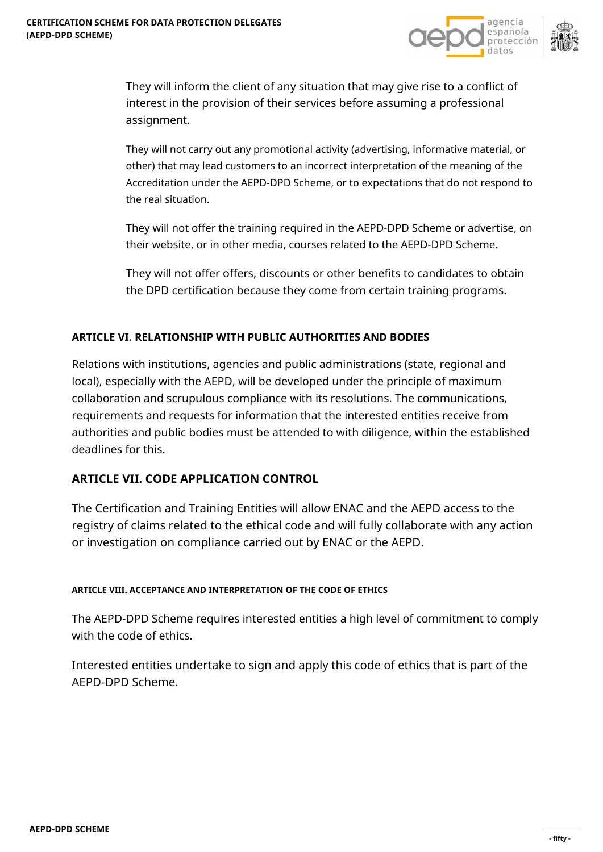

They will inform the client of any situation that may give rise to a conflict of interest in the provision of their services before assuming a professional assignment.

They will not carry out any promotional activity (advertising, informative material, or other) that may lead customers to an incorrect interpretation of the meaning of the Accreditation under the AEPD-DPD Scheme, or to expectations that do not respond to the real situation.

They will not offer the training required in the AEPD-DPD Scheme or advertise, on their website, or in other media, courses related to the AEPD-DPD Scheme.

They will not offer offers, discounts or other benefits to candidates to obtain the DPD certification because they come from certain training programs.

## **ARTICLE VI. RELATIONSHIP WITH PUBLIC AUTHORITIES AND BODIES**

Relations with institutions, agencies and public administrations (state, regional and local), especially with the AEPD, will be developed under the principle of maximum collaboration and scrupulous compliance with its resolutions. The communications, requirements and requests for information that the interested entities receive from authorities and public bodies must be attended to with diligence, within the established deadlines for this.

# **ARTICLE VII. CODE APPLICATION CONTROL**

The Certification and Training Entities will allow ENAC and the AEPD access to the registry of claims related to the ethical code and will fully collaborate with any action or investigation on compliance carried out by ENAC or the AEPD.

## **ARTICLE VIII. ACCEPTANCE AND INTERPRETATION OF THE CODE OF ETHICS**

The AEPD-DPD Scheme requires interested entities a high level of commitment to comply with the code of ethics.

Interested entities undertake to sign and apply this code of ethics that is part of the AEPD-DPD Scheme.